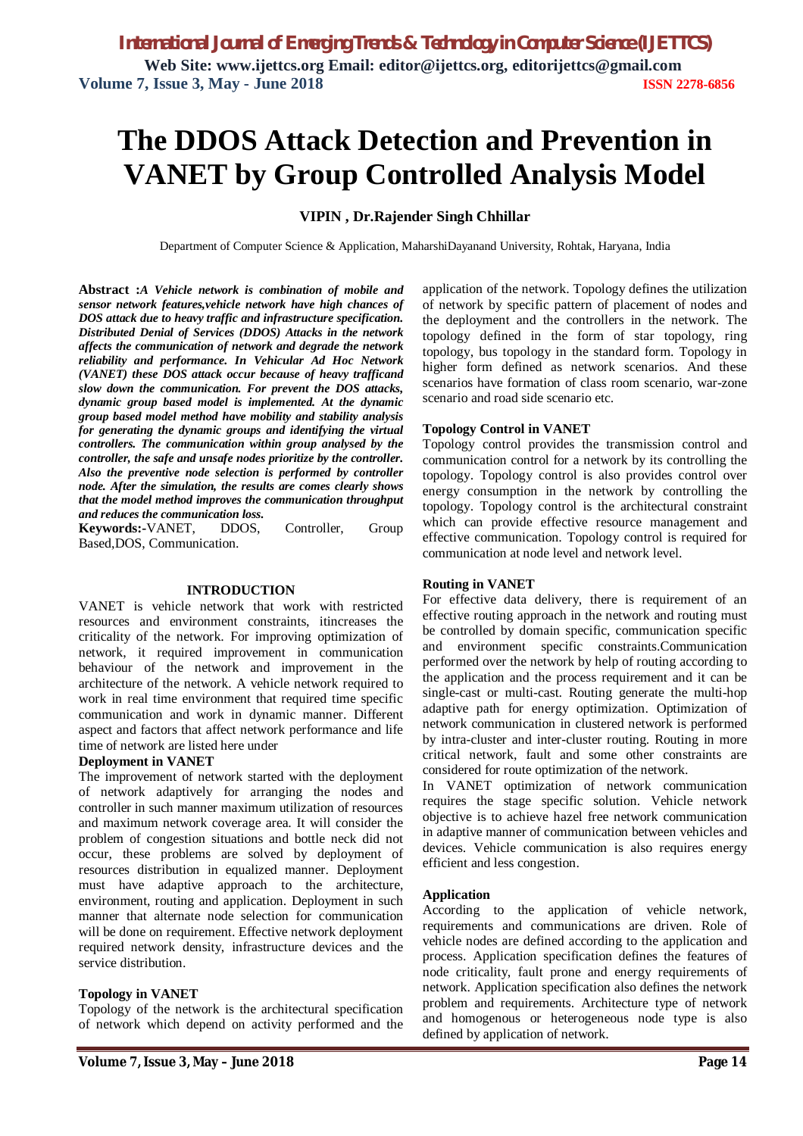# **The DDOS Attack Detection and Prevention in VANET by Group Controlled Analysis Model**

## **VIPIN , Dr.Rajender Singh Chhillar**

Department of Computer Science & Application, MaharshiDayanand University, Rohtak, Haryana, India

**Abstract :***A Vehicle network is combination of mobile and sensor network features,vehicle network have high chances of DOS attack due to heavy traffic and infrastructure specification. Distributed Denial of Services (DDOS) Attacks in the network affects the communication of network and degrade the network reliability and performance. In Vehicular Ad Hoc Network (VANET) these DOS attack occur because of heavy trafficand slow down the communication. For prevent the DOS attacks, dynamic group based model is implemented. At the dynamic group based model method have mobility and stability analysis for generating the dynamic groups and identifying the virtual controllers. The communication within group analysed by the controller, the safe and unsafe nodes prioritize by the controller. Also the preventive node selection is performed by controller node. After the simulation, the results are comes clearly shows that the model method improves the communication throughput and reduces the communication loss.*

**Keywords:-**VANET, DDOS, Controller, Group Based,DOS, Communication.

#### **INTRODUCTION**

VANET is vehicle network that work with restricted resources and environment constraints, itincreases the criticality of the network. For improving optimization of network, it required improvement in communication behaviour of the network and improvement in the architecture of the network. A vehicle network required to work in real time environment that required time specific communication and work in dynamic manner. Different aspect and factors that affect network performance and life time of network are listed here under

#### **Deployment in VANET**

The improvement of network started with the deployment of network adaptively for arranging the nodes and controller in such manner maximum utilization of resources and maximum network coverage area. It will consider the problem of congestion situations and bottle neck did not occur, these problems are solved by deployment of resources distribution in equalized manner. Deployment must have adaptive approach to the architecture, environment, routing and application. Deployment in such manner that alternate node selection for communication will be done on requirement. Effective network deployment required network density, infrastructure devices and the service distribution.

#### **Topology in VANET**

Topology of the network is the architectural specification of network which depend on activity performed and the application of the network. Topology defines the utilization of network by specific pattern of placement of nodes and the deployment and the controllers in the network. The topology defined in the form of star topology, ring topology, bus topology in the standard form. Topology in higher form defined as network scenarios. And these scenarios have formation of class room scenario, war-zone scenario and road side scenario etc.

## **Topology Control in VANET**

Topology control provides the transmission control and communication control for a network by its controlling the topology. Topology control is also provides control over energy consumption in the network by controlling the topology. Topology control is the architectural constraint which can provide effective resource management and effective communication. Topology control is required for communication at node level and network level.

#### **Routing in VANET**

For effective data delivery, there is requirement of an effective routing approach in the network and routing must be controlled by domain specific, communication specific and environment specific constraints.Communication performed over the network by help of routing according to the application and the process requirement and it can be single-cast or multi-cast. Routing generate the multi-hop adaptive path for energy optimization. Optimization of network communication in clustered network is performed by intra-cluster and inter-cluster routing. Routing in more critical network, fault and some other constraints are considered for route optimization of the network.

In VANET optimization of network communication requires the stage specific solution. Vehicle network objective is to achieve hazel free network communication in adaptive manner of communication between vehicles and devices. Vehicle communication is also requires energy efficient and less congestion.

#### **Application**

According to the application of vehicle network, requirements and communications are driven. Role of vehicle nodes are defined according to the application and process. Application specification defines the features of node criticality, fault prone and energy requirements of network. Application specification also defines the network problem and requirements. Architecture type of network and homogenous or heterogeneous node type is also defined by application of network.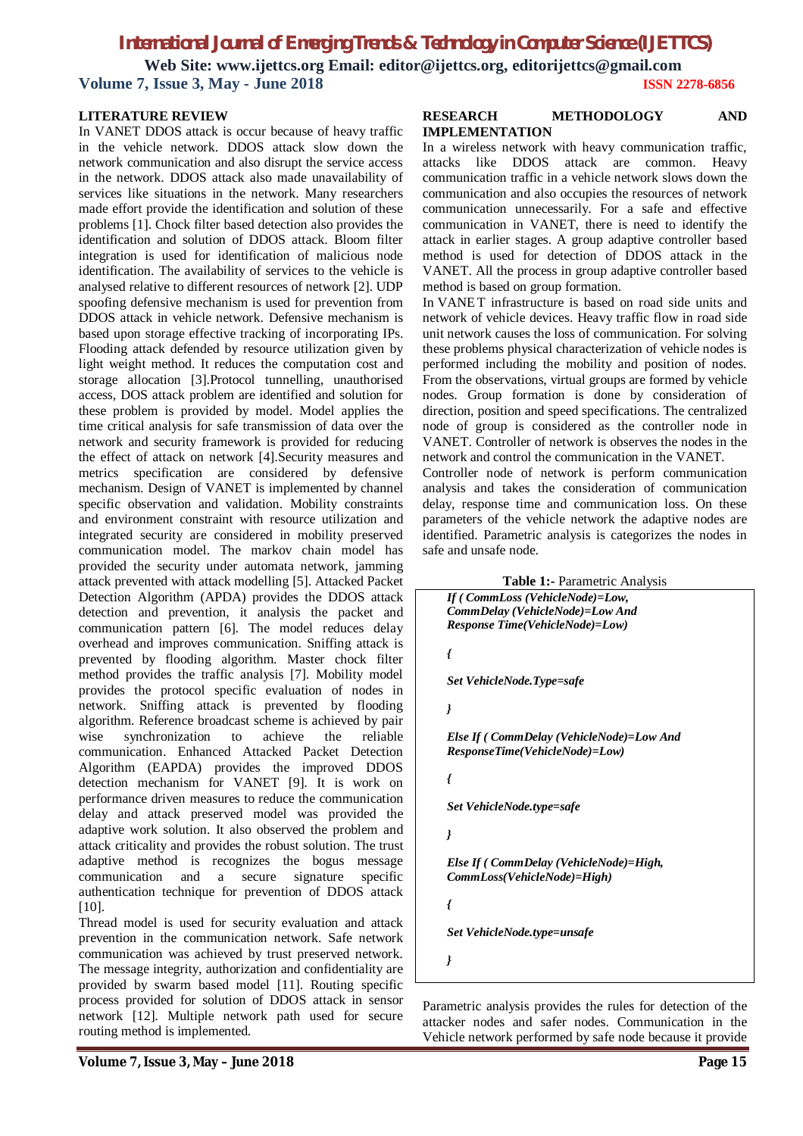# *International Journal of Emerging Trends & Technology in Computer Science (IJETTCS)* **Web Site: www.ijettcs.org Email: editor@ijettcs.org, editorijettcs@gmail.com Volume 7, Issue 3, May - June 2018 ISSN 2278-6856**

#### **LITERATURE REVIEW**

In VANET DDOS attack is occur because of heavy traffic in the vehicle network. DDOS attack slow down the network communication and also disrupt the service access in the network. DDOS attack also made unavailability of services like situations in the network. Many researchers made effort provide the identification and solution of these problems [1]. Chock filter based detection also provides the identification and solution of DDOS attack. Bloom filter integration is used for identification of malicious node identification. The availability of services to the vehicle is analysed relative to different resources of network [2]. UDP spoofing defensive mechanism is used for prevention from DDOS attack in vehicle network. Defensive mechanism is based upon storage effective tracking of incorporating IPs. Flooding attack defended by resource utilization given by light weight method. It reduces the computation cost and storage allocation [3].Protocol tunnelling, unauthorised access, DOS attack problem are identified and solution for these problem is provided by model. Model applies the time critical analysis for safe transmission of data over the network and security framework is provided for reducing the effect of attack on network [4].Security measures and metrics specification are considered by defensive mechanism. Design of VANET is implemented by channel specific observation and validation. Mobility constraints and environment constraint with resource utilization and integrated security are considered in mobility preserved communication model. The markov chain model has provided the security under automata network, jamming attack prevented with attack modelling [5]. Attacked Packet Detection Algorithm (APDA) provides the DDOS attack detection and prevention, it analysis the packet and communication pattern [6]. The model reduces delay overhead and improves communication. Sniffing attack is prevented by flooding algorithm. Master chock filter method provides the traffic analysis [7]. Mobility model provides the protocol specific evaluation of nodes in network. Sniffing attack is prevented by flooding algorithm. Reference broadcast scheme is achieved by pair wise synchronization to achieve the reliable communication. Enhanced Attacked Packet Detection Algorithm (EAPDA) provides the improved DDOS detection mechanism for VANET [9]. It is work on performance driven measures to reduce the communication delay and attack preserved model was provided the adaptive work solution. It also observed the problem and attack criticality and provides the robust solution. The trust adaptive method is recognizes the bogus message communication and a secure signature specific authentication technique for prevention of DDOS attack [10].

Thread model is used for security evaluation and attack prevention in the communication network. Safe network communication was achieved by trust preserved network. The message integrity, authorization and confidentiality are provided by swarm based model [11]. Routing specific process provided for solution of DDOS attack in sensor network [12]. Multiple network path used for secure routing method is implemented.

#### **RESEARCH METHODOLOGY AND IMPLEMENTATION**

In a wireless network with heavy communication traffic, attacks like DDOS attack are common. Heavy communication traffic in a vehicle network slows down the communication and also occupies the resources of network communication unnecessarily. For a safe and effective communication in VANET, there is need to identify the attack in earlier stages. A group adaptive controller based method is used for detection of DDOS attack in the VANET. All the process in group adaptive controller based method is based on group formation.

In VANET infrastructure is based on road side units and network of vehicle devices. Heavy traffic flow in road side unit network causes the loss of communication. For solving these problems physical characterization of vehicle nodes is performed including the mobility and position of nodes. From the observations, virtual groups are formed by vehicle nodes. Group formation is done by consideration of direction, position and speed specifications. The centralized node of group is considered as the controller node in VANET. Controller of network is observes the nodes in the network and control the communication in the VANET.

Controller node of network is perform communication analysis and takes the consideration of communication delay, response time and communication loss. On these parameters of the vehicle network the adaptive nodes are identified. Parametric analysis is categorizes the nodes in safe and unsafe node.

**Table 1:-** Parametric Analysis



*Set VehicleNode.type=unsafe*

*}*

Parametric analysis provides the rules for detection of the attacker nodes and safer nodes. Communication in the Vehicle network performed by safe node because it provide

**Volume 7, Issue 3, May – June 2018 Page 15**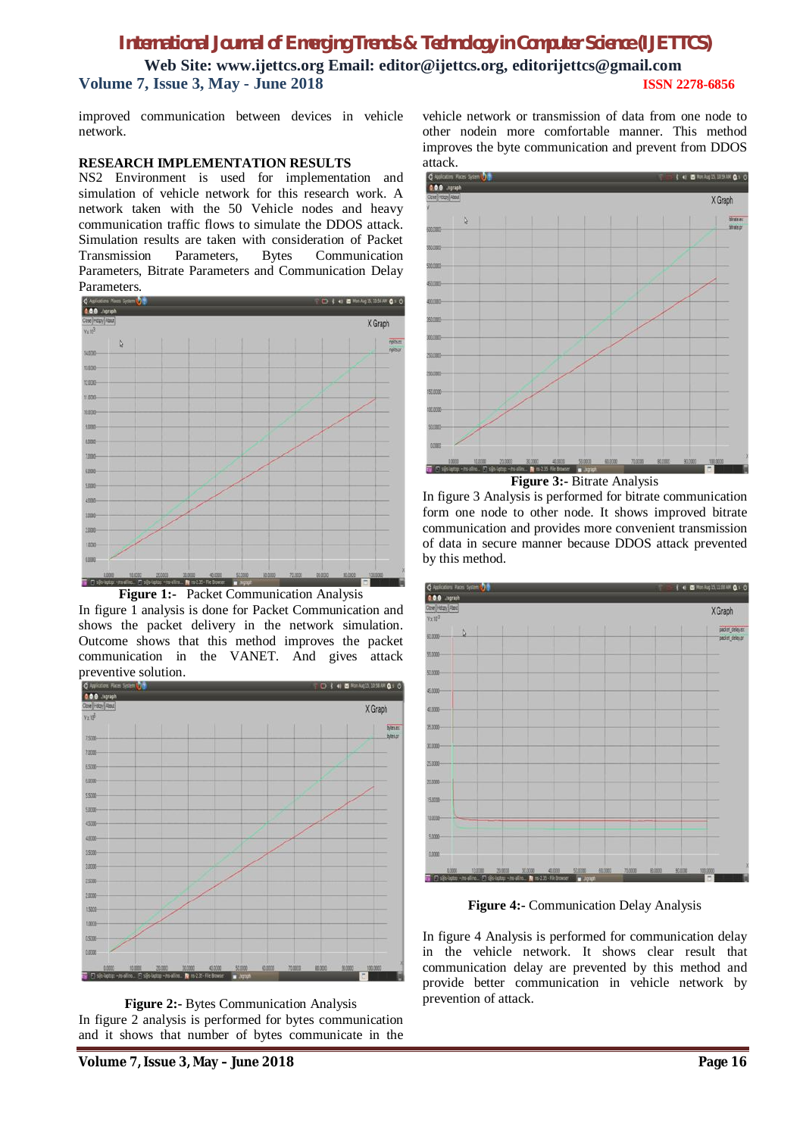# *International Journal of Emerging Trends & Technology in Computer Science (IJETTCS)* **Web Site: www.ijettcs.org Email: editor@ijettcs.org, editorijettcs@gmail.com**

**Volume 7, Issue 3, May - June 2018 ISSN 2278-6856**

improved communication between devices in vehicle network.

## **RESEARCH IMPLEMENTATION RESULTS**

NS2 Environment is used for implementation and simulation of vehicle network for this research work. A network taken with the 50 Vehicle nodes and heavy communication traffic flows to simulate the DDOS attack. Simulation results are taken with consideration of Packet Transmission Parameters, Bytes Communication Parameters, Bitrate Parameters and Communication Delay Parameters.



**Figure 1:-** Packet Communication Analysis In figure 1 analysis is done for Packet Communication and shows the packet delivery in the network simulation. Outcome shows that this method improves the packet communication in the VANET. And gives attack preventive solution.



**Figure 2:-** Bytes Communication Analysis In figure 2 analysis is performed for bytes communication and it shows that number of bytes communicate in the

vehicle network or transmission of data from one node to other nodein more comfortable manner. This method improves the byte communication and prevent from DDOS attack.



**Figure 3:-** Bitrate Analysis

In figure 3 Analysis is performed for bitrate communication form one node to other node. It shows improved bitrate communication and provides more convenient transmission of data in secure manner because DDOS attack prevented by this method.



**Figure 4:-** Communication Delay Analysis

In figure 4 Analysis is performed for communication delay in the vehicle network. It shows clear result that communication delay are prevented by this method and provide better communication in vehicle network by prevention of attack.